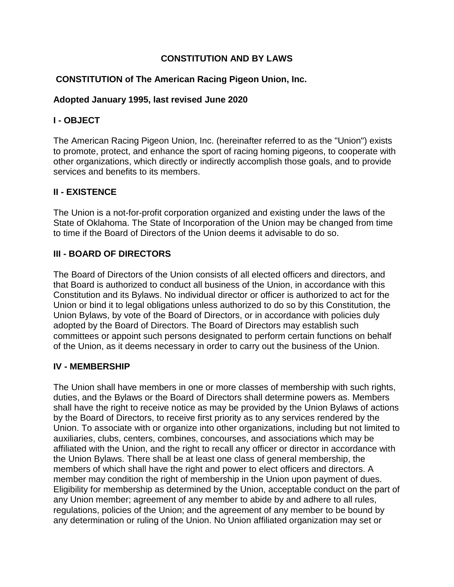### **CONSTITUTION AND BY LAWS**

### **CONSTITUTION of The American Racing Pigeon Union, Inc.**

#### **Adopted January 1995, last revised June 2020**

### **I - OBJECT**

The American Racing Pigeon Union, Inc. (hereinafter referred to as the "Union") exists to promote, protect, and enhance the sport of racing homing pigeons, to cooperate with other organizations, which directly or indirectly accomplish those goals, and to provide services and benefits to its members.

# **II - EXISTENCE**

The Union is a not-for-profit corporation organized and existing under the laws of the State of Oklahoma. The State of Incorporation of the Union may be changed from time to time if the Board of Directors of the Union deems it advisable to do so.

# **III - BOARD OF DIRECTORS**

The Board of Directors of the Union consists of all elected officers and directors, and that Board is authorized to conduct all business of the Union, in accordance with this Constitution and its Bylaws. No individual director or officer is authorized to act for the Union or bind it to legal obligations unless authorized to do so by this Constitution, the Union Bylaws, by vote of the Board of Directors, or in accordance with policies duly adopted by the Board of Directors. The Board of Directors may establish such committees or appoint such persons designated to perform certain functions on behalf of the Union, as it deems necessary in order to carry out the business of the Union.

### **IV - MEMBERSHIP**

The Union shall have members in one or more classes of membership with such rights, duties, and the Bylaws or the Board of Directors shall determine powers as. Members shall have the right to receive notice as may be provided by the Union Bylaws of actions by the Board of Directors, to receive first priority as to any services rendered by the Union. To associate with or organize into other organizations, including but not limited to auxiliaries, clubs, centers, combines, concourses, and associations which may be affiliated with the Union, and the right to recall any officer or director in accordance with the Union Bylaws. There shall be at least one class of general membership, the members of which shall have the right and power to elect officers and directors. A member may condition the right of membership in the Union upon payment of dues. Eligibility for membership as determined by the Union, acceptable conduct on the part of any Union member; agreement of any member to abide by and adhere to all rules, regulations, policies of the Union; and the agreement of any member to be bound by any determination or ruling of the Union. No Union affiliated organization may set or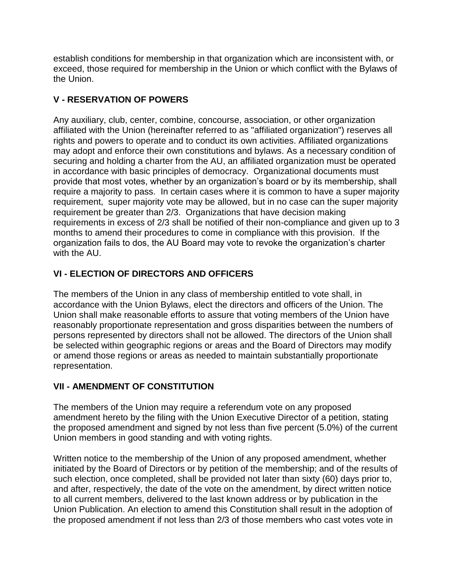establish conditions for membership in that organization which are inconsistent with, or exceed, those required for membership in the Union or which conflict with the Bylaws of the Union.

# **V - RESERVATION OF POWERS**

Any auxiliary, club, center, combine, concourse, association, or other organization affiliated with the Union (hereinafter referred to as "affiliated organization") reserves all rights and powers to operate and to conduct its own activities. Affiliated organizations may adopt and enforce their own constitutions and bylaws. As a necessary condition of securing and holding a charter from the AU, an affiliated organization must be operated in accordance with basic principles of democracy. Organizational documents must provide that most votes, whether by an organization's board or by its membership, shall require a majority to pass. In certain cases where it is common to have a super majority requirement, super majority vote may be allowed, but in no case can the super majority requirement be greater than 2/3. Organizations that have decision making requirements in excess of 2/3 shall be notified of their non-compliance and given up to 3 months to amend their procedures to come in compliance with this provision. If the organization fails to dos, the AU Board may vote to revoke the organization's charter with the AU.

# **VI - ELECTION OF DIRECTORS AND OFFICERS**

The members of the Union in any class of membership entitled to vote shall, in accordance with the Union Bylaws, elect the directors and officers of the Union. The Union shall make reasonable efforts to assure that voting members of the Union have reasonably proportionate representation and gross disparities between the numbers of persons represented by directors shall not be allowed. The directors of the Union shall be selected within geographic regions or areas and the Board of Directors may modify or amend those regions or areas as needed to maintain substantially proportionate representation.

# **VII - AMENDMENT OF CONSTITUTION**

The members of the Union may require a referendum vote on any proposed amendment hereto by the filing with the Union Executive Director of a petition, stating the proposed amendment and signed by not less than five percent (5.0%) of the current Union members in good standing and with voting rights.

Written notice to the membership of the Union of any proposed amendment, whether initiated by the Board of Directors or by petition of the membership; and of the results of such election, once completed, shall be provided not later than sixty (60) days prior to, and after, respectively, the date of the vote on the amendment, by direct written notice to all current members, delivered to the last known address or by publication in the Union Publication. An election to amend this Constitution shall result in the adoption of the proposed amendment if not less than 2/3 of those members who cast votes vote in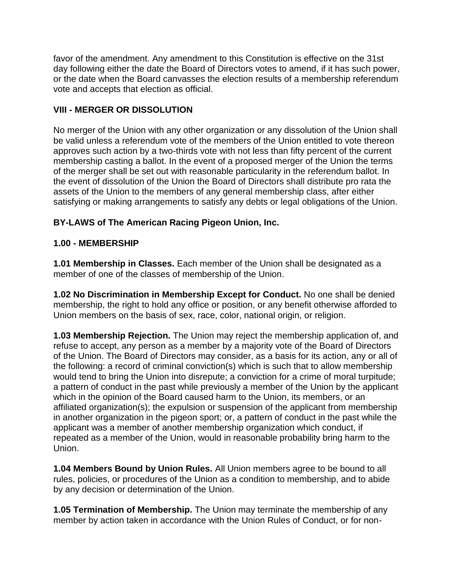favor of the amendment. Any amendment to this Constitution is effective on the 31st day following either the date the Board of Directors votes to amend, if it has such power, or the date when the Board canvasses the election results of a membership referendum vote and accepts that election as official.

### **VIII - MERGER OR DISSOLUTION**

No merger of the Union with any other organization or any dissolution of the Union shall be valid unless a referendum vote of the members of the Union entitled to vote thereon approves such action by a two-thirds vote with not less than fifty percent of the current membership casting a ballot. In the event of a proposed merger of the Union the terms of the merger shall be set out with reasonable particularity in the referendum ballot. In the event of dissolution of the Union the Board of Directors shall distribute pro rata the assets of the Union to the members of any general membership class, after either satisfying or making arrangements to satisfy any debts or legal obligations of the Union.

# **BY-LAWS of The American Racing Pigeon Union, Inc.**

# **1.00 - MEMBERSHIP**

**1.01 Membership in Classes.** Each member of the Union shall be designated as a member of one of the classes of membership of the Union.

**1.02 No Discrimination in Membership Except for Conduct.** No one shall be denied membership, the right to hold any office or position, or any benefit otherwise afforded to Union members on the basis of sex, race, color, national origin, or religion.

**1.03 Membership Rejection.** The Union may reject the membership application of, and refuse to accept, any person as a member by a majority vote of the Board of Directors of the Union. The Board of Directors may consider, as a basis for its action, any or all of the following: a record of criminal conviction(s) which is such that to allow membership would tend to bring the Union into disrepute; a conviction for a crime of moral turpitude; a pattern of conduct in the past while previously a member of the Union by the applicant which in the opinion of the Board caused harm to the Union, its members, or an affiliated organization(s); the expulsion or suspension of the applicant from membership in another organization in the pigeon sport; or, a pattern of conduct in the past while the applicant was a member of another membership organization which conduct, if repeated as a member of the Union, would in reasonable probability bring harm to the Union.

**1.04 Members Bound by Union Rules.** All Union members agree to be bound to all rules, policies, or procedures of the Union as a condition to membership, and to abide by any decision or determination of the Union.

**1.05 Termination of Membership.** The Union may terminate the membership of any member by action taken in accordance with the Union Rules of Conduct, or for non-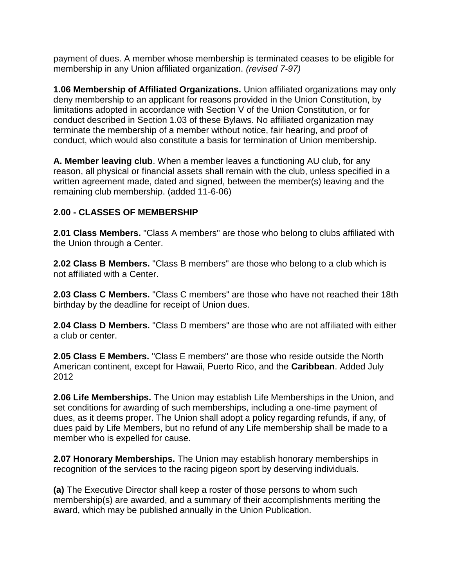payment of dues. A member whose membership is terminated ceases to be eligible for membership in any Union affiliated organization. *(revised 7-97)*

**1.06 Membership of Affiliated Organizations.** Union affiliated organizations may only deny membership to an applicant for reasons provided in the Union Constitution, by limitations adopted in accordance with Section V of the Union Constitution, or for conduct described in Section 1.03 of these Bylaws. No affiliated organization may terminate the membership of a member without notice, fair hearing, and proof of conduct, which would also constitute a basis for termination of Union membership.

**A. Member leaving club**. When a member leaves a functioning AU club, for any reason, all physical or financial assets shall remain with the club, unless specified in a written agreement made, dated and signed, between the member(s) leaving and the remaining club membership. (added 11-6-06)

#### **2.00 - CLASSES OF MEMBERSHIP**

**2.01 Class Members.** "Class A members" are those who belong to clubs affiliated with the Union through a Center.

**2.02 Class B Members.** "Class B members" are those who belong to a club which is not affiliated with a Center.

**2.03 Class C Members.** "Class C members" are those who have not reached their 18th birthday by the deadline for receipt of Union dues.

**2.04 Class D Members.** "Class D members" are those who are not affiliated with either a club or center.

**2.05 Class E Members.** "Class E members" are those who reside outside the North American continent, except for Hawaii, Puerto Rico, and the **Caribbean**. Added July 2012

**2.06 Life Memberships.** The Union may establish Life Memberships in the Union, and set conditions for awarding of such memberships, including a one-time payment of dues, as it deems proper. The Union shall adopt a policy regarding refunds, if any, of dues paid by Life Members, but no refund of any Life membership shall be made to a member who is expelled for cause.

**2.07 Honorary Memberships.** The Union may establish honorary memberships in recognition of the services to the racing pigeon sport by deserving individuals.

**(a)** The Executive Director shall keep a roster of those persons to whom such membership(s) are awarded, and a summary of their accomplishments meriting the award, which may be published annually in the Union Publication.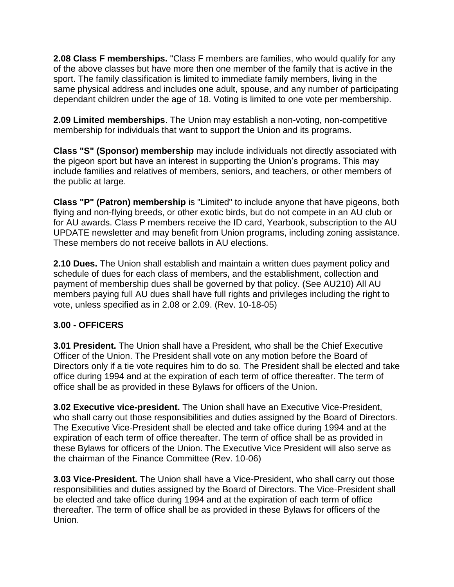**2.08 Class F memberships.** "Class F members are families, who would qualify for any of the above classes but have more then one member of the family that is active in the sport. The family classification is limited to immediate family members, living in the same physical address and includes one adult, spouse, and any number of participating dependant children under the age of 18. Voting is limited to one vote per membership.

**2.09 Limited memberships**. The Union may establish a non-voting, non-competitive membership for individuals that want to support the Union and its programs.

**Class "S" (Sponsor) membership** may include individuals not directly associated with the pigeon sport but have an interest in supporting the Union's programs. This may include families and relatives of members, seniors, and teachers, or other members of the public at large.

**Class "P" (Patron) membership** is "Limited" to include anyone that have pigeons, both flying and non-flying breeds, or other exotic birds, but do not compete in an AU club or for AU awards. Class P members receive the ID card, Yearbook, subscription to the AU UPDATE newsletter and may benefit from Union programs, including zoning assistance. These members do not receive ballots in AU elections.

**2.10 Dues.** The Union shall establish and maintain a written dues payment policy and schedule of dues for each class of members, and the establishment, collection and payment of membership dues shall be governed by that policy. (See AU210) All AU members paying full AU dues shall have full rights and privileges including the right to vote, unless specified as in 2.08 or 2.09. (Rev. 10-18-05)

### **3.00 - OFFICERS**

**3.01 President.** The Union shall have a President, who shall be the Chief Executive Officer of the Union. The President shall vote on any motion before the Board of Directors only if a tie vote requires him to do so. The President shall be elected and take office during 1994 and at the expiration of each term of office thereafter. The term of office shall be as provided in these Bylaws for officers of the Union.

**3.02 Executive vice-president.** The Union shall have an Executive Vice-President, who shall carry out those responsibilities and duties assigned by the Board of Directors. The Executive Vice-President shall be elected and take office during 1994 and at the expiration of each term of office thereafter. The term of office shall be as provided in these Bylaws for officers of the Union. The Executive Vice President will also serve as the chairman of the Finance Committee (Rev. 10-06)

**3.03 Vice-President.** The Union shall have a Vice-President, who shall carry out those responsibilities and duties assigned by the Board of Directors. The Vice-President shall be elected and take office during 1994 and at the expiration of each term of office thereafter. The term of office shall be as provided in these Bylaws for officers of the Union.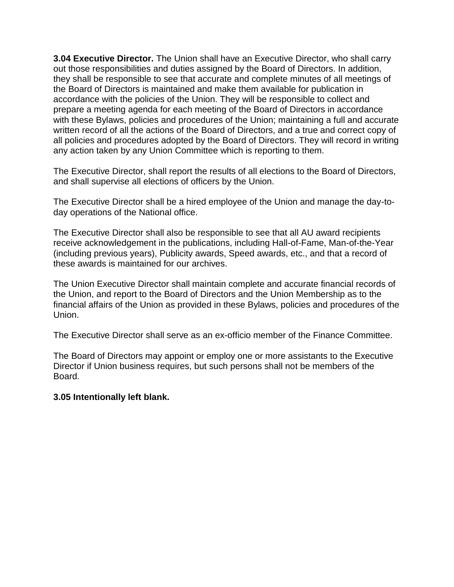**3.04 Executive Director.** The Union shall have an Executive Director, who shall carry out those responsibilities and duties assigned by the Board of Directors. In addition, they shall be responsible to see that accurate and complete minutes of all meetings of the Board of Directors is maintained and make them available for publication in accordance with the policies of the Union. They will be responsible to collect and prepare a meeting agenda for each meeting of the Board of Directors in accordance with these Bylaws, policies and procedures of the Union; maintaining a full and accurate written record of all the actions of the Board of Directors, and a true and correct copy of all policies and procedures adopted by the Board of Directors. They will record in writing any action taken by any Union Committee which is reporting to them.

The Executive Director, shall report the results of all elections to the Board of Directors, and shall supervise all elections of officers by the Union.

The Executive Director shall be a hired employee of the Union and manage the day-today operations of the National office.

The Executive Director shall also be responsible to see that all AU award recipients receive acknowledgement in the publications, including Hall-of-Fame, Man-of-the-Year (including previous years), Publicity awards, Speed awards, etc., and that a record of these awards is maintained for our archives.

The Union Executive Director shall maintain complete and accurate financial records of the Union, and report to the Board of Directors and the Union Membership as to the financial affairs of the Union as provided in these Bylaws, policies and procedures of the Union.

The Executive Director shall serve as an ex-officio member of the Finance Committee.

The Board of Directors may appoint or employ one or more assistants to the Executive Director if Union business requires, but such persons shall not be members of the Board.

#### **3.05 Intentionally left blank.**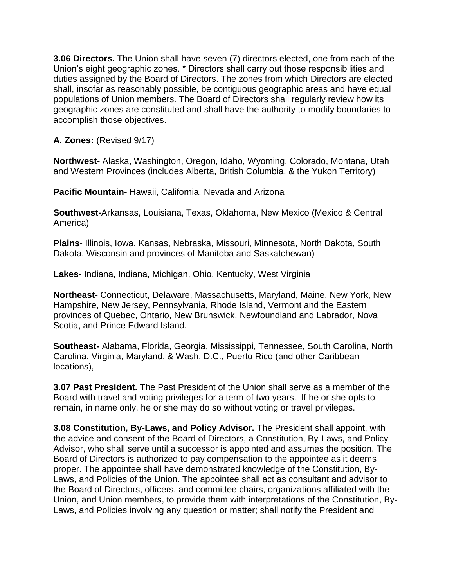**3.06 Directors.** The Union shall have seven (7) directors elected, one from each of the Union's eight geographic zones. \* Directors shall carry out those responsibilities and duties assigned by the Board of Directors. The zones from which Directors are elected shall, insofar as reasonably possible, be contiguous geographic areas and have equal populations of Union members. The Board of Directors shall regularly review how its geographic zones are constituted and shall have the authority to modify boundaries to accomplish those objectives.

**A. Zones:** (Revised 9/17)

**Northwest-** Alaska, Washington, Oregon, Idaho, Wyoming, Colorado, Montana, Utah and Western Provinces (includes Alberta, British Columbia, & the Yukon Territory)

**Pacific Mountain-** Hawaii, California, Nevada and Arizona

**Southwest-**Arkansas, Louisiana, Texas, Oklahoma, New Mexico (Mexico & Central America)

**Plains**- Illinois, Iowa, Kansas, Nebraska, Missouri, Minnesota, North Dakota, South Dakota, Wisconsin and provinces of Manitoba and Saskatchewan)

**Lakes-** Indiana, Indiana, Michigan, Ohio, Kentucky, West Virginia

**Northeast-** Connecticut, Delaware, Massachusetts, Maryland, Maine, New York, New Hampshire, New Jersey, Pennsylvania, Rhode Island, Vermont and the Eastern provinces of Quebec, Ontario, New Brunswick, Newfoundland and Labrador, Nova Scotia, and Prince Edward Island.

**Southeast-** Alabama, Florida, Georgia, Mississippi, Tennessee, South Carolina, North Carolina, Virginia, Maryland, & Wash. D.C., Puerto Rico (and other Caribbean locations),

**3.07 Past President.** The Past President of the Union shall serve as a member of the Board with travel and voting privileges for a term of two years. If he or she opts to remain, in name only, he or she may do so without voting or travel privileges.

**3.08 Constitution, By-Laws, and Policy Advisor.** The President shall appoint, with the advice and consent of the Board of Directors, a Constitution, By-Laws, and Policy Advisor, who shall serve until a successor is appointed and assumes the position. The Board of Directors is authorized to pay compensation to the appointee as it deems proper. The appointee shall have demonstrated knowledge of the Constitution, By-Laws, and Policies of the Union. The appointee shall act as consultant and advisor to the Board of Directors, officers, and committee chairs, organizations affiliated with the Union, and Union members, to provide them with interpretations of the Constitution, By-Laws, and Policies involving any question or matter; shall notify the President and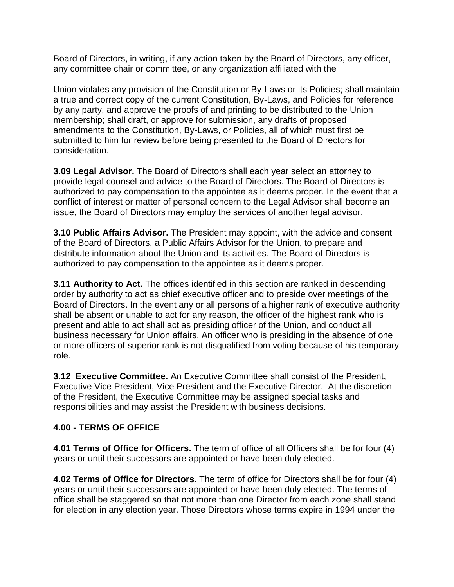Board of Directors, in writing, if any action taken by the Board of Directors, any officer, any committee chair or committee, or any organization affiliated with the

Union violates any provision of the Constitution or By-Laws or its Policies; shall maintain a true and correct copy of the current Constitution, By-Laws, and Policies for reference by any party, and approve the proofs of and printing to be distributed to the Union membership; shall draft, or approve for submission, any drafts of proposed amendments to the Constitution, By-Laws, or Policies, all of which must first be submitted to him for review before being presented to the Board of Directors for consideration.

**3.09 Legal Advisor.** The Board of Directors shall each year select an attorney to provide legal counsel and advice to the Board of Directors. The Board of Directors is authorized to pay compensation to the appointee as it deems proper. In the event that a conflict of interest or matter of personal concern to the Legal Advisor shall become an issue, the Board of Directors may employ the services of another legal advisor.

**3.10 Public Affairs Advisor.** The President may appoint, with the advice and consent of the Board of Directors, a Public Affairs Advisor for the Union, to prepare and distribute information about the Union and its activities. The Board of Directors is authorized to pay compensation to the appointee as it deems proper.

**3.11 Authority to Act.** The offices identified in this section are ranked in descending order by authority to act as chief executive officer and to preside over meetings of the Board of Directors. In the event any or all persons of a higher rank of executive authority shall be absent or unable to act for any reason, the officer of the highest rank who is present and able to act shall act as presiding officer of the Union, and conduct all business necessary for Union affairs. An officer who is presiding in the absence of one or more officers of superior rank is not disqualified from voting because of his temporary role.

**3.12 Executive Committee.** An Executive Committee shall consist of the President, Executive Vice President, Vice President and the Executive Director. At the discretion of the President, the Executive Committee may be assigned special tasks and responsibilities and may assist the President with business decisions.

### **4.00 - TERMS OF OFFICE**

**4.01 Terms of Office for Officers.** The term of office of all Officers shall be for four (4) years or until their successors are appointed or have been duly elected.

**4.02 Terms of Office for Directors.** The term of office for Directors shall be for four (4) years or until their successors are appointed or have been duly elected. The terms of office shall be staggered so that not more than one Director from each zone shall stand for election in any election year. Those Directors whose terms expire in 1994 under the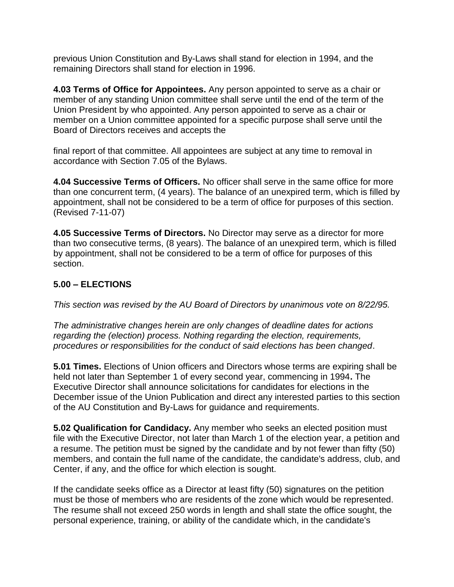previous Union Constitution and By-Laws shall stand for election in 1994, and the remaining Directors shall stand for election in 1996.

**4.03 Terms of Office for Appointees.** Any person appointed to serve as a chair or member of any standing Union committee shall serve until the end of the term of the Union President by who appointed. Any person appointed to serve as a chair or member on a Union committee appointed for a specific purpose shall serve until the Board of Directors receives and accepts the

final report of that committee. All appointees are subject at any time to removal in accordance with Section 7.05 of the Bylaws.

**4.04 Successive Terms of Officers.** No officer shall serve in the same office for more than one concurrent term, (4 years). The balance of an unexpired term, which is filled by appointment, shall not be considered to be a term of office for purposes of this section. (Revised 7-11-07)

**4.05 Successive Terms of Directors.** No Director may serve as a director for more than two consecutive terms, (8 years). The balance of an unexpired term, which is filled by appointment, shall not be considered to be a term of office for purposes of this section.

### **5.00 – ELECTIONS**

*This section was revised by the AU Board of Directors by unanimous vote on 8/22/95.*

*The administrative changes herein are only changes of deadline dates for actions regarding the (election) process. Nothing regarding the election, requirements, procedures or responsibilities for the conduct of said elections has been changed*.

**5.01 Times.** Elections of Union officers and Directors whose terms are expiring shall be held not later than September 1 of every second year, commencing in 1994**.** The Executive Director shall announce solicitations for candidates for elections in the December issue of the Union Publication and direct any interested parties to this section of the AU Constitution and By-Laws for guidance and requirements.

**5.02 Qualification for Candidacy.** Any member who seeks an elected position must file with the Executive Director, not later than March 1 of the election year, a petition and a resume. The petition must be signed by the candidate and by not fewer than fifty (50) members, and contain the full name of the candidate, the candidate's address, club, and Center, if any, and the office for which election is sought.

If the candidate seeks office as a Director at least fifty (50) signatures on the petition must be those of members who are residents of the zone which would be represented. The resume shall not exceed 250 words in length and shall state the office sought, the personal experience, training, or ability of the candidate which, in the candidate's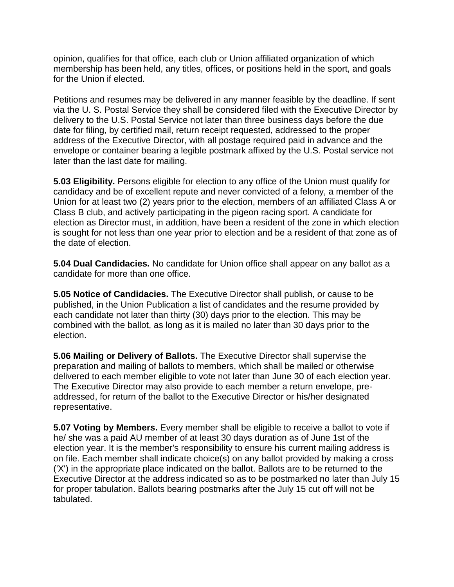opinion, qualifies for that office, each club or Union affiliated organization of which membership has been held, any titles, offices, or positions held in the sport, and goals for the Union if elected.

Petitions and resumes may be delivered in any manner feasible by the deadline. If sent via the U. S. Postal Service they shall be considered filed with the Executive Director by delivery to the U.S. Postal Service not later than three business days before the due date for filing, by certified mail, return receipt requested, addressed to the proper address of the Executive Director, with all postage required paid in advance and the envelope or container bearing a legible postmark affixed by the U.S. Postal service not later than the last date for mailing.

**5.03 Eligibility.** Persons eligible for election to any office of the Union must qualify for candidacy and be of excellent repute and never convicted of a felony, a member of the Union for at least two (2) years prior to the election, members of an affiliated Class A or Class B club, and actively participating in the pigeon racing sport. A candidate for election as Director must, in addition, have been a resident of the zone in which election is sought for not less than one year prior to election and be a resident of that zone as of the date of election.

**5.04 Dual Candidacies.** No candidate for Union office shall appear on any ballot as a candidate for more than one office.

**5.05 Notice of Candidacies.** The Executive Director shall publish, or cause to be published, in the Union Publication a list of candidates and the resume provided by each candidate not later than thirty (30) days prior to the election. This may be combined with the ballot, as long as it is mailed no later than 30 days prior to the election.

**5.06 Mailing or Delivery of Ballots.** The Executive Director shall supervise the preparation and mailing of ballots to members, which shall be mailed or otherwise delivered to each member eligible to vote not later than June 30 of each election year. The Executive Director may also provide to each member a return envelope, preaddressed, for return of the ballot to the Executive Director or his/her designated representative.

**5.07 Voting by Members.** Every member shall be eligible to receive a ballot to vote if he/ she was a paid AU member of at least 30 days duration as of June 1st of the election year. It is the member's responsibility to ensure his current mailing address is on file. Each member shall indicate choice(s) on any ballot provided by making a cross ('X') in the appropriate place indicated on the ballot. Ballots are to be returned to the Executive Director at the address indicated so as to be postmarked no later than July 15 for proper tabulation. Ballots bearing postmarks after the July 15 cut off will not be tabulated.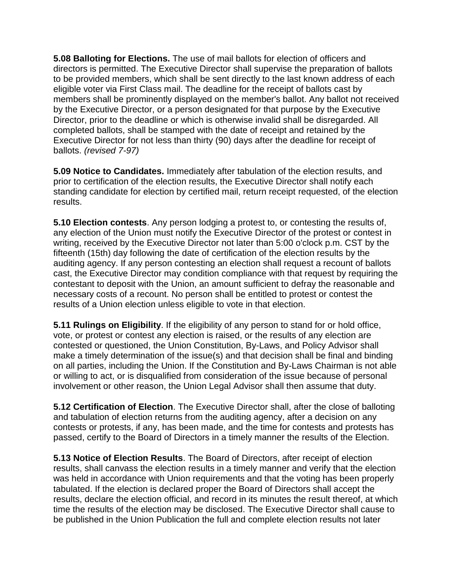**5.08 Balloting for Elections.** The use of mail ballots for election of officers and directors is permitted. The Executive Director shall supervise the preparation of ballots to be provided members, which shall be sent directly to the last known address of each eligible voter via First Class mail. The deadline for the receipt of ballots cast by members shall be prominently displayed on the member's ballot. Any ballot not received by the Executive Director, or a person designated for that purpose by the Executive Director, prior to the deadline or which is otherwise invalid shall be disregarded. All completed ballots, shall be stamped with the date of receipt and retained by the Executive Director for not less than thirty (90) days after the deadline for receipt of ballots. *(revised 7-97)*

**5.09 Notice to Candidates.** Immediately after tabulation of the election results, and prior to certification of the election results, the Executive Director shall notify each standing candidate for election by certified mail, return receipt requested, of the election results.

**5.10 Election contests**. Any person lodging a protest to, or contesting the results of, any election of the Union must notify the Executive Director of the protest or contest in writing, received by the Executive Director not later than 5:00 o'clock p.m. CST by the fifteenth (15th) day following the date of certification of the election results by the auditing agency. If any person contesting an election shall request a recount of ballots cast, the Executive Director may condition compliance with that request by requiring the contestant to deposit with the Union, an amount sufficient to defray the reasonable and necessary costs of a recount. No person shall be entitled to protest or contest the results of a Union election unless eligible to vote in that election.

**5.11 Rulings on Eligibility**. If the eligibility of any person to stand for or hold office, vote, or protest or contest any election is raised, or the results of any election are contested or questioned, the Union Constitution, By-Laws, and Policy Advisor shall make a timely determination of the issue(s) and that decision shall be final and binding on all parties, including the Union. If the Constitution and By-Laws Chairman is not able or willing to act, or is disqualified from consideration of the issue because of personal involvement or other reason, the Union Legal Advisor shall then assume that duty.

**5.12 Certification of Election**. The Executive Director shall, after the close of balloting and tabulation of election returns from the auditing agency, after a decision on any contests or protests, if any, has been made, and the time for contests and protests has passed, certify to the Board of Directors in a timely manner the results of the Election.

**5.13 Notice of Election Results**. The Board of Directors, after receipt of election results, shall canvass the election results in a timely manner and verify that the election was held in accordance with Union requirements and that the voting has been properly tabulated. If the election is declared proper the Board of Directors shall accept the results, declare the election official, and record in its minutes the result thereof, at which time the results of the election may be disclosed. The Executive Director shall cause to be published in the Union Publication the full and complete election results not later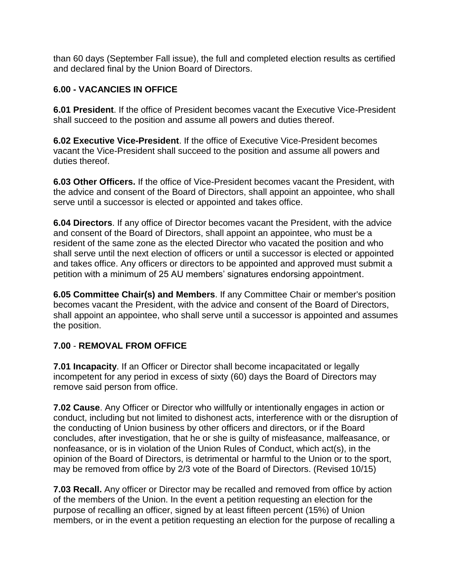than 60 days (September Fall issue), the full and completed election results as certified and declared final by the Union Board of Directors.

# **6.00 - VACANCIES IN OFFICE**

**6.01 President**. If the office of President becomes vacant the Executive Vice-President shall succeed to the position and assume all powers and duties thereof.

**6.02 Executive Vice-President**. If the office of Executive Vice-President becomes vacant the Vice-President shall succeed to the position and assume all powers and duties thereof.

**6.03 Other Officers.** If the office of Vice-President becomes vacant the President, with the advice and consent of the Board of Directors, shall appoint an appointee, who shall serve until a successor is elected or appointed and takes office.

**6.04 Directors**. If any office of Director becomes vacant the President, with the advice and consent of the Board of Directors, shall appoint an appointee, who must be a resident of the same zone as the elected Director who vacated the position and who shall serve until the next election of officers or until a successor is elected or appointed and takes office. Any officers or directors to be appointed and approved must submit a petition with a minimum of 25 AU members' signatures endorsing appointment.

**6.05 Committee Chair(s) and Members**. If any Committee Chair or member's position becomes vacant the President, with the advice and consent of the Board of Directors, shall appoint an appointee, who shall serve until a successor is appointed and assumes the position.

# **7.00** - **REMOVAL FROM OFFICE**

**7.01 Incapacity**. If an Officer or Director shall become incapacitated or legally incompetent for any period in excess of sixty (60) days the Board of Directors may remove said person from office.

**7.02 Cause**. Any Officer or Director who willfully or intentionally engages in action or conduct, including but not limited to dishonest acts, interference with or the disruption of the conducting of Union business by other officers and directors, or if the Board concludes, after investigation, that he or she is guilty of misfeasance, malfeasance, or nonfeasance, or is in violation of the Union Rules of Conduct, which act(s), in the opinion of the Board of Directors, is detrimental or harmful to the Union or to the sport, may be removed from office by 2/3 vote of the Board of Directors. (Revised 10/15)

**7.03 Recall.** Any officer or Director may be recalled and removed from office by action of the members of the Union. In the event a petition requesting an election for the purpose of recalling an officer, signed by at least fifteen percent (15%) of Union members, or in the event a petition requesting an election for the purpose of recalling a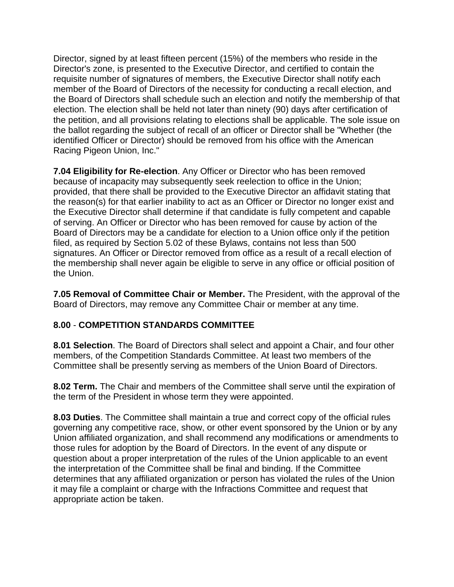Director, signed by at least fifteen percent (15%) of the members who reside in the Director's zone, is presented to the Executive Director, and certified to contain the requisite number of signatures of members, the Executive Director shall notify each member of the Board of Directors of the necessity for conducting a recall election, and the Board of Directors shall schedule such an election and notify the membership of that election. The election shall be held not later than ninety (90) days after certification of the petition, and all provisions relating to elections shall be applicable. The sole issue on the ballot regarding the subject of recall of an officer or Director shall be "Whether (the identified Officer or Director) should be removed from his office with the American Racing Pigeon Union, Inc."

**7.04 Eligibility for Re-election**. Any Officer or Director who has been removed because of incapacity may subsequently seek reelection to office in the Union; provided, that there shall be provided to the Executive Director an affidavit stating that the reason(s) for that earlier inability to act as an Officer or Director no longer exist and the Executive Director shall determine if that candidate is fully competent and capable of serving. An Officer or Director who has been removed for cause by action of the Board of Directors may be a candidate for election to a Union office only if the petition filed, as required by Section 5.02 of these Bylaws, contains not less than 500 signatures. An Officer or Director removed from office as a result of a recall election of the membership shall never again be eligible to serve in any office or official position of the Union.

**7.05 Removal of Committee Chair or Member.** The President, with the approval of the Board of Directors, may remove any Committee Chair or member at any time.

### **8.00** - **COMPETITION STANDARDS COMMITTEE**

**8.01 Selection**. The Board of Directors shall select and appoint a Chair, and four other members, of the Competition Standards Committee. At least two members of the Committee shall be presently serving as members of the Union Board of Directors.

**8.02 Term.** The Chair and members of the Committee shall serve until the expiration of the term of the President in whose term they were appointed.

**8.03 Duties**. The Committee shall maintain a true and correct copy of the official rules governing any competitive race, show, or other event sponsored by the Union or by any Union affiliated organization, and shall recommend any modifications or amendments to those rules for adoption by the Board of Directors. In the event of any dispute or question about a proper interpretation of the rules of the Union applicable to an event the interpretation of the Committee shall be final and binding. If the Committee determines that any affiliated organization or person has violated the rules of the Union it may file a complaint or charge with the Infractions Committee and request that appropriate action be taken.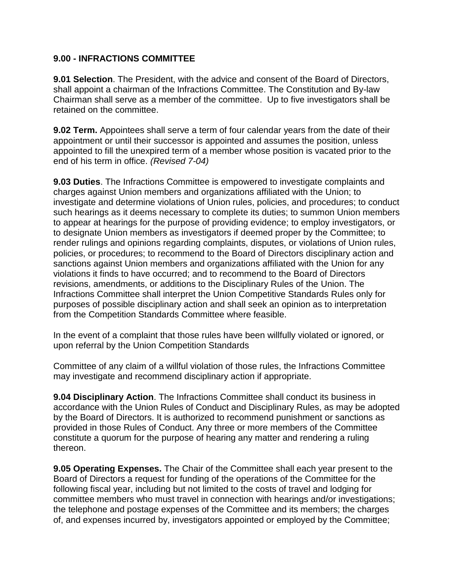#### **9.00 - INFRACTIONS COMMITTEE**

**9.01 Selection**. The President, with the advice and consent of the Board of Directors, shall appoint a chairman of the Infractions Committee. The Constitution and By-law Chairman shall serve as a member of the committee. Up to five investigators shall be retained on the committee.

**9.02 Term.** Appointees shall serve a term of four calendar years from the date of their appointment or until their successor is appointed and assumes the position, unless appointed to fill the unexpired term of a member whose position is vacated prior to the end of his term in office. *(Revised 7-04)*

**9.03 Duties**. The Infractions Committee is empowered to investigate complaints and charges against Union members and organizations affiliated with the Union; to investigate and determine violations of Union rules, policies, and procedures; to conduct such hearings as it deems necessary to complete its duties; to summon Union members to appear at hearings for the purpose of providing evidence; to employ investigators, or to designate Union members as investigators if deemed proper by the Committee; to render rulings and opinions regarding complaints, disputes, or violations of Union rules, policies, or procedures; to recommend to the Board of Directors disciplinary action and sanctions against Union members and organizations affiliated with the Union for any violations it finds to have occurred; and to recommend to the Board of Directors revisions, amendments, or additions to the Disciplinary Rules of the Union. The Infractions Committee shall interpret the Union Competitive Standards Rules only for purposes of possible disciplinary action and shall seek an opinion as to interpretation from the Competition Standards Committee where feasible.

In the event of a complaint that those rules have been willfully violated or ignored, or upon referral by the Union Competition Standards

Committee of any claim of a willful violation of those rules, the Infractions Committee may investigate and recommend disciplinary action if appropriate.

**9.04 Disciplinary Action**. The Infractions Committee shall conduct its business in accordance with the Union Rules of Conduct and Disciplinary Rules, as may be adopted by the Board of Directors. It is authorized to recommend punishment or sanctions as provided in those Rules of Conduct. Any three or more members of the Committee constitute a quorum for the purpose of hearing any matter and rendering a ruling thereon.

**9.05 Operating Expenses.** The Chair of the Committee shall each year present to the Board of Directors a request for funding of the operations of the Committee for the following fiscal year, including but not limited to the costs of travel and lodging for committee members who must travel in connection with hearings and/or investigations; the telephone and postage expenses of the Committee and its members; the charges of, and expenses incurred by, investigators appointed or employed by the Committee;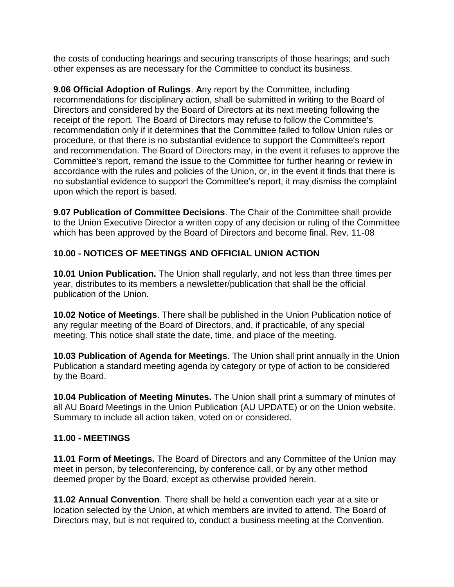the costs of conducting hearings and securing transcripts of those hearings; and such other expenses as are necessary for the Committee to conduct its business.

**9.06 Official Adoption of Rulings**. **A**ny report by the Committee, including recommendations for disciplinary action, shall be submitted in writing to the Board of Directors and considered by the Board of Directors at its next meeting following the receipt of the report. The Board of Directors may refuse to follow the Committee's recommendation only if it determines that the Committee failed to follow Union rules or procedure, or that there is no substantial evidence to support the Committee's report and recommendation. The Board of Directors may, in the event it refuses to approve the Committee's report, remand the issue to the Committee for further hearing or review in accordance with the rules and policies of the Union, or, in the event it finds that there is no substantial evidence to support the Committee's report, it may dismiss the complaint upon which the report is based.

**9.07 Publication of Committee Decisions**. The Chair of the Committee shall provide to the Union Executive Director a written copy of any decision or ruling of the Committee which has been approved by the Board of Directors and become final. Rev. 11-08

### **10.00 - NOTICES OF MEETINGS AND OFFICIAL UNION ACTION**

**10.01 Union Publication.** The Union shall regularly, and not less than three times per year, distributes to its members a newsletter/publication that shall be the official publication of the Union.

**10.02 Notice of Meetings**. There shall be published in the Union Publication notice of any regular meeting of the Board of Directors, and, if practicable, of any special meeting. This notice shall state the date, time, and place of the meeting.

**10.03 Publication of Agenda for Meetings**. The Union shall print annually in the Union Publication a standard meeting agenda by category or type of action to be considered by the Board.

**10.04 Publication of Meeting Minutes.** The Union shall print a summary of minutes of all AU Board Meetings in the Union Publication (AU UPDATE) or on the Union website. Summary to include all action taken, voted on or considered.

### **11.00 - MEETINGS**

**11.01 Form of Meetings.** The Board of Directors and any Committee of the Union may meet in person, by teleconferencing, by conference call, or by any other method deemed proper by the Board, except as otherwise provided herein.

**11.02 Annual Convention**. There shall be held a convention each year at a site or location selected by the Union, at which members are invited to attend. The Board of Directors may, but is not required to, conduct a business meeting at the Convention.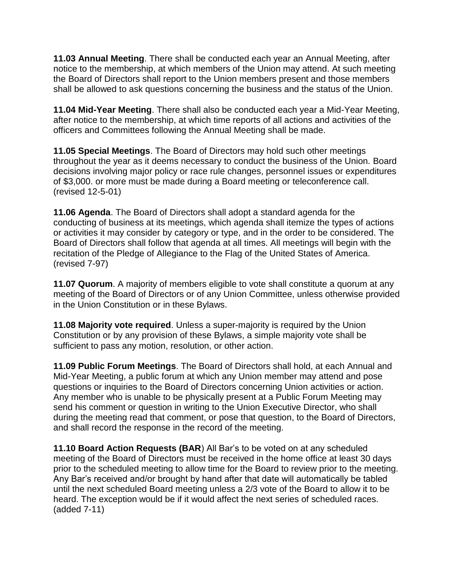**11.03 Annual Meeting**. There shall be conducted each year an Annual Meeting, after notice to the membership, at which members of the Union may attend. At such meeting the Board of Directors shall report to the Union members present and those members shall be allowed to ask questions concerning the business and the status of the Union.

**11.04 Mid-Year Meeting**. There shall also be conducted each year a Mid-Year Meeting, after notice to the membership, at which time reports of all actions and activities of the officers and Committees following the Annual Meeting shall be made.

**11.05 Special Meetings**. The Board of Directors may hold such other meetings throughout the year as it deems necessary to conduct the business of the Union. Board decisions involving major policy or race rule changes, personnel issues or expenditures of \$3,000. or more must be made during a Board meeting or teleconference call. (revised 12-5-01)

**11.06 Agenda**. The Board of Directors shall adopt a standard agenda for the conducting of business at its meetings, which agenda shall itemize the types of actions or activities it may consider by category or type, and in the order to be considered. The Board of Directors shall follow that agenda at all times. All meetings will begin with the recitation of the Pledge of Allegiance to the Flag of the United States of America. (revised 7-97)

**11.07 Quorum**. A majority of members eligible to vote shall constitute a quorum at any meeting of the Board of Directors or of any Union Committee, unless otherwise provided in the Union Constitution or in these Bylaws.

**11.08 Majority vote required**. Unless a super-majority is required by the Union Constitution or by any provision of these Bylaws, a simple majority vote shall be sufficient to pass any motion, resolution, or other action.

**11.09 Public Forum Meetings**. The Board of Directors shall hold, at each Annual and Mid-Year Meeting, a public forum at which any Union member may attend and pose questions or inquiries to the Board of Directors concerning Union activities or action. Any member who is unable to be physically present at a Public Forum Meeting may send his comment or question in writing to the Union Executive Director, who shall during the meeting read that comment, or pose that question, to the Board of Directors, and shall record the response in the record of the meeting.

**11.10 Board Action Requests (BAR**) All Bar's to be voted on at any scheduled meeting of the Board of Directors must be received in the home office at least 30 days prior to the scheduled meeting to allow time for the Board to review prior to the meeting. Any Bar's received and/or brought by hand after that date will automatically be tabled until the next scheduled Board meeting unless a 2/3 vote of the Board to allow it to be heard. The exception would be if it would affect the next series of scheduled races. (added 7-11)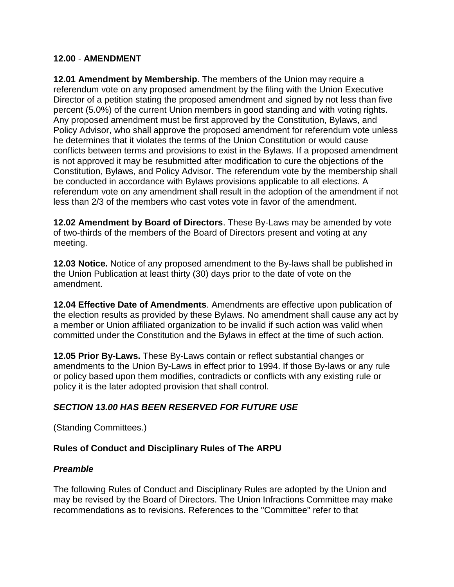#### **12.00** - **AMENDMENT**

**12.01 Amendment by Membership**. The members of the Union may require a referendum vote on any proposed amendment by the filing with the Union Executive Director of a petition stating the proposed amendment and signed by not less than five percent (5.0%) of the current Union members in good standing and with voting rights. Any proposed amendment must be first approved by the Constitution, Bylaws, and Policy Advisor, who shall approve the proposed amendment for referendum vote unless he determines that it violates the terms of the Union Constitution or would cause conflicts between terms and provisions to exist in the Bylaws. If a proposed amendment is not approved it may be resubmitted after modification to cure the objections of the Constitution, Bylaws, and Policy Advisor. The referendum vote by the membership shall be conducted in accordance with Bylaws provisions applicable to all elections. A referendum vote on any amendment shall result in the adoption of the amendment if not less than 2/3 of the members who cast votes vote in favor of the amendment.

**12.02 Amendment by Board of Directors**. These By-Laws may be amended by vote of two-thirds of the members of the Board of Directors present and voting at any meeting.

**12.03 Notice.** Notice of any proposed amendment to the By-laws shall be published in the Union Publication at least thirty (30) days prior to the date of vote on the amendment.

**12.04 Effective Date of Amendments**. Amendments are effective upon publication of the election results as provided by these Bylaws. No amendment shall cause any act by a member or Union affiliated organization to be invalid if such action was valid when committed under the Constitution and the Bylaws in effect at the time of such action.

**12.05 Prior By-Laws.** These By-Laws contain or reflect substantial changes or amendments to the Union By-Laws in effect prior to 1994. If those By-laws or any rule or policy based upon them modifies, contradicts or conflicts with any existing rule or policy it is the later adopted provision that shall control.

# *SECTION 13.00 HAS BEEN RESERVED FOR FUTURE USE*

(Standing Committees.)

### **Rules of Conduct and Disciplinary Rules of The ARPU**

### *Preamble*

The following Rules of Conduct and Disciplinary Rules are adopted by the Union and may be revised by the Board of Directors. The Union Infractions Committee may make recommendations as to revisions. References to the "Committee" refer to that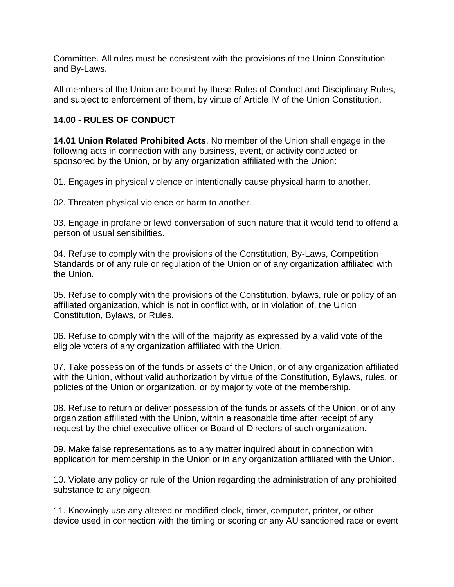Committee. All rules must be consistent with the provisions of the Union Constitution and By-Laws.

All members of the Union are bound by these Rules of Conduct and Disciplinary Rules, and subject to enforcement of them, by virtue of Article IV of the Union Constitution.

#### **14.00 - RULES OF CONDUCT**

**14.01 Union Related Prohibited Acts**. No member of the Union shall engage in the following acts in connection with any business, event, or activity conducted or sponsored by the Union, or by any organization affiliated with the Union:

01. Engages in physical violence or intentionally cause physical harm to another.

02. Threaten physical violence or harm to another.

03. Engage in profane or lewd conversation of such nature that it would tend to offend a person of usual sensibilities.

04. Refuse to comply with the provisions of the Constitution, By-Laws, Competition Standards or of any rule or regulation of the Union or of any organization affiliated with the Union.

05. Refuse to comply with the provisions of the Constitution, bylaws, rule or policy of an affiliated organization, which is not in conflict with, or in violation of, the Union Constitution, Bylaws, or Rules.

06. Refuse to comply with the will of the majority as expressed by a valid vote of the eligible voters of any organization affiliated with the Union.

07. Take possession of the funds or assets of the Union, or of any organization affiliated with the Union, without valid authorization by virtue of the Constitution, Bylaws, rules, or policies of the Union or organization, or by majority vote of the membership.

08. Refuse to return or deliver possession of the funds or assets of the Union, or of any organization affiliated with the Union, within a reasonable time after receipt of any request by the chief executive officer or Board of Directors of such organization.

09. Make false representations as to any matter inquired about in connection with application for membership in the Union or in any organization affiliated with the Union.

10. Violate any policy or rule of the Union regarding the administration of any prohibited substance to any pigeon.

11. Knowingly use any altered or modified clock, timer, computer, printer, or other device used in connection with the timing or scoring or any AU sanctioned race or event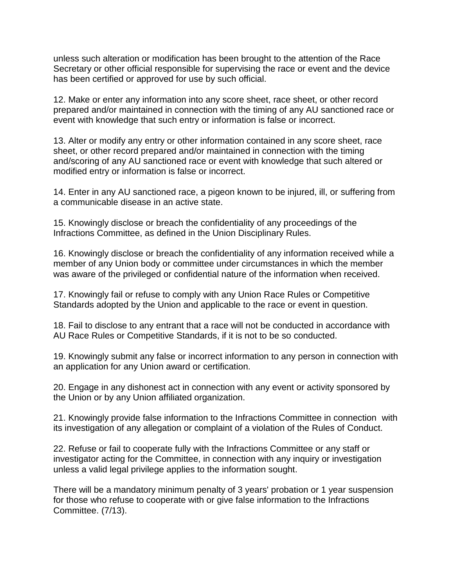unless such alteration or modification has been brought to the attention of the Race Secretary or other official responsible for supervising the race or event and the device has been certified or approved for use by such official.

12. Make or enter any information into any score sheet, race sheet, or other record prepared and/or maintained in connection with the timing of any AU sanctioned race or event with knowledge that such entry or information is false or incorrect.

13. Alter or modify any entry or other information contained in any score sheet, race sheet, or other record prepared and/or maintained in connection with the timing and/scoring of any AU sanctioned race or event with knowledge that such altered or modified entry or information is false or incorrect.

14. Enter in any AU sanctioned race, a pigeon known to be injured, ill, or suffering from a communicable disease in an active state.

15. Knowingly disclose or breach the confidentiality of any proceedings of the Infractions Committee, as defined in the Union Disciplinary Rules.

16. Knowingly disclose or breach the confidentiality of any information received while a member of any Union body or committee under circumstances in which the member was aware of the privileged or confidential nature of the information when received.

17. Knowingly fail or refuse to comply with any Union Race Rules or Competitive Standards adopted by the Union and applicable to the race or event in question.

18. Fail to disclose to any entrant that a race will not be conducted in accordance with AU Race Rules or Competitive Standards, if it is not to be so conducted.

19. Knowingly submit any false or incorrect information to any person in connection with an application for any Union award or certification.

20. Engage in any dishonest act in connection with any event or activity sponsored by the Union or by any Union affiliated organization.

21. Knowingly provide false information to the Infractions Committee in connection with its investigation of any allegation or complaint of a violation of the Rules of Conduct.

22. Refuse or fail to cooperate fully with the Infractions Committee or any staff or investigator acting for the Committee, in connection with any inquiry or investigation unless a valid legal privilege applies to the information sought.

There will be a mandatory minimum penalty of 3 years' probation or 1 year suspension for those who refuse to cooperate with or give false information to the Infractions Committee. (7/13).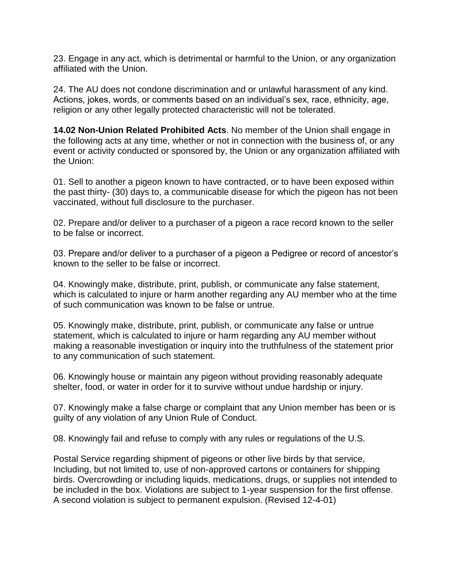23. Engage in any act, which is detrimental or harmful to the Union, or any organization affiliated with the Union.

24. The AU does not condone discrimination and or unlawful harassment of any kind. Actions, jokes, words, or comments based on an individual's sex, race, ethnicity, age, religion or any other legally protected characteristic will not be tolerated.

**14.02 Non-Union Related Prohibited Acts**. No member of the Union shall engage in the following acts at any time, whether or not in connection with the business of, or any event or activity conducted or sponsored by, the Union or any organization affiliated with the Union:

01. Sell to another a pigeon known to have contracted, or to have been exposed within the past thirty- (30) days to, a communicable disease for which the pigeon has not been vaccinated, without full disclosure to the purchaser.

02. Prepare and/or deliver to a purchaser of a pigeon a race record known to the seller to be false or incorrect.

03. Prepare and/or deliver to a purchaser of a pigeon a Pedigree or record of ancestor's known to the seller to be false or incorrect.

04. Knowingly make, distribute, print, publish, or communicate any false statement, which is calculated to injure or harm another regarding any AU member who at the time of such communication was known to be false or untrue.

05. Knowingly make, distribute, print, publish, or communicate any false or untrue statement, which is calculated to injure or harm regarding any AU member without making a reasonable investigation or inquiry into the truthfulness of the statement prior to any communication of such statement.

06. Knowingly house or maintain any pigeon without providing reasonably adequate shelter, food, or water in order for it to survive without undue hardship or injury.

07. Knowingly make a false charge or complaint that any Union member has been or is guilty of any violation of any Union Rule of Conduct.

08. Knowingly fail and refuse to comply with any rules or regulations of the U.S.

Postal Service regarding shipment of pigeons or other live birds by that service, Including, but not limited to, use of non-approved cartons or containers for shipping birds. Overcrowding or including liquids, medications, drugs, or supplies not intended to be included in the box. Violations are subject to 1-year suspension for the first offense. A second violation is subject to permanent expulsion. (Revised 12-4-01)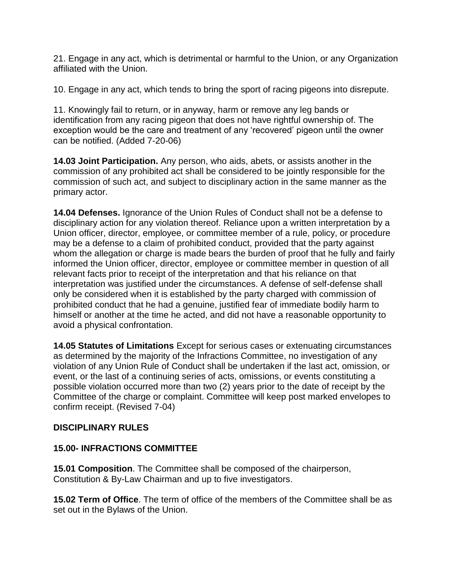21. Engage in any act, which is detrimental or harmful to the Union, or any Organization affiliated with the Union.

10. Engage in any act, which tends to bring the sport of racing pigeons into disrepute.

11. Knowingly fail to return, or in anyway, harm or remove any leg bands or identification from any racing pigeon that does not have rightful ownership of. The exception would be the care and treatment of any 'recovered' pigeon until the owner can be notified. (Added 7-20-06)

**14.03 Joint Participation.** Any person, who aids, abets, or assists another in the commission of any prohibited act shall be considered to be jointly responsible for the commission of such act, and subject to disciplinary action in the same manner as the primary actor.

**14.04 Defenses.** Ignorance of the Union Rules of Conduct shall not be a defense to disciplinary action for any violation thereof. Reliance upon a written interpretation by a Union officer, director, employee, or committee member of a rule, policy, or procedure may be a defense to a claim of prohibited conduct, provided that the party against whom the allegation or charge is made bears the burden of proof that he fully and fairly informed the Union officer, director, employee or committee member in question of all relevant facts prior to receipt of the interpretation and that his reliance on that interpretation was justified under the circumstances. A defense of self-defense shall only be considered when it is established by the party charged with commission of prohibited conduct that he had a genuine, justified fear of immediate bodily harm to himself or another at the time he acted, and did not have a reasonable opportunity to avoid a physical confrontation.

**14.05 Statutes of Limitations** Except for serious cases or extenuating circumstances as determined by the majority of the Infractions Committee, no investigation of any violation of any Union Rule of Conduct shall be undertaken if the last act, omission, or event, or the last of a continuing series of acts, omissions, or events constituting a possible violation occurred more than two (2) years prior to the date of receipt by the Committee of the charge or complaint. Committee will keep post marked envelopes to confirm receipt. (Revised 7-04)

### **DISCIPLINARY RULES**

### **15.00- INFRACTIONS COMMITTEE**

**15.01 Composition**. The Committee shall be composed of the chairperson, Constitution & By-Law Chairman and up to five investigators.

**15.02 Term of Office**. The term of office of the members of the Committee shall be as set out in the Bylaws of the Union.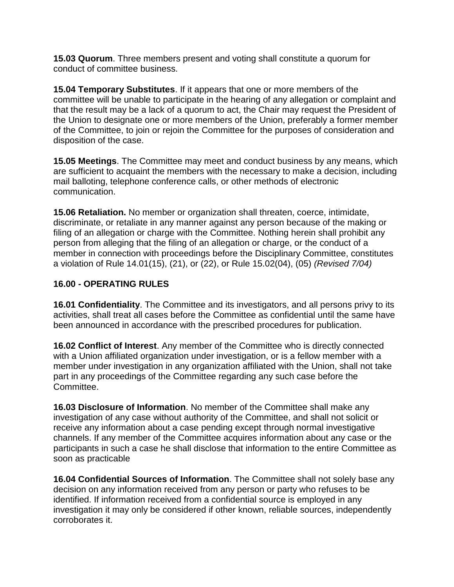**15.03 Quorum**. Three members present and voting shall constitute a quorum for conduct of committee business.

**15.04 Temporary Substitutes**. If it appears that one or more members of the committee will be unable to participate in the hearing of any allegation or complaint and that the result may be a lack of a quorum to act, the Chair may request the President of the Union to designate one or more members of the Union, preferably a former member of the Committee, to join or rejoin the Committee for the purposes of consideration and disposition of the case.

**15.05 Meetings**. The Committee may meet and conduct business by any means, which are sufficient to acquaint the members with the necessary to make a decision, including mail balloting, telephone conference calls, or other methods of electronic communication.

**15.06 Retaliation.** No member or organization shall threaten, coerce, intimidate, discriminate, or retaliate in any manner against any person because of the making or filing of an allegation or charge with the Committee. Nothing herein shall prohibit any person from alleging that the filing of an allegation or charge, or the conduct of a member in connection with proceedings before the Disciplinary Committee, constitutes a violation of Rule 14.01(15), (21), or (22), or Rule 15.02(04), (05) *(Revised 7/04)*

# **16.00 - OPERATING RULES**

**16.01 Confidentiality**. The Committee and its investigators, and all persons privy to its activities, shall treat all cases before the Committee as confidential until the same have been announced in accordance with the prescribed procedures for publication.

**16.02 Conflict of Interest**. Any member of the Committee who is directly connected with a Union affiliated organization under investigation, or is a fellow member with a member under investigation in any organization affiliated with the Union, shall not take part in any proceedings of the Committee regarding any such case before the Committee.

**16.03 Disclosure of Information**. No member of the Committee shall make any investigation of any case without authority of the Committee, and shall not solicit or receive any information about a case pending except through normal investigative channels. If any member of the Committee acquires information about any case or the participants in such a case he shall disclose that information to the entire Committee as soon as practicable

**16.04 Confidential Sources of Information**. The Committee shall not solely base any decision on any information received from any person or party who refuses to be identified. If information received from a confidential source is employed in any investigation it may only be considered if other known, reliable sources, independently corroborates it.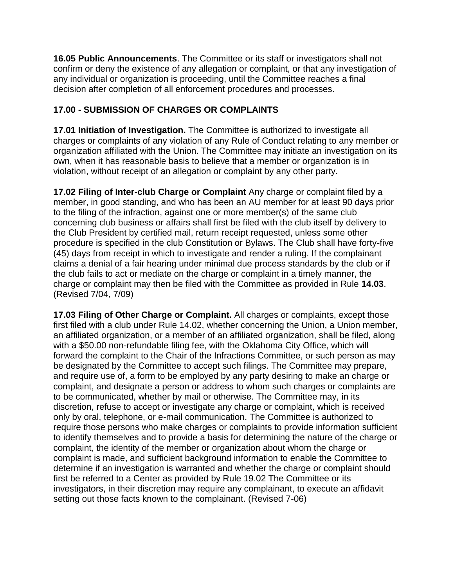**16.05 Public Announcements**. The Committee or its staff or investigators shall not confirm or deny the existence of any allegation or complaint, or that any investigation of any individual or organization is proceeding, until the Committee reaches a final decision after completion of all enforcement procedures and processes.

# **17.00 - SUBMISSION OF CHARGES OR COMPLAINTS**

**17.01 Initiation of Investigation.** The Committee is authorized to investigate all charges or complaints of any violation of any Rule of Conduct relating to any member or organization affiliated with the Union. The Committee may initiate an investigation on its own, when it has reasonable basis to believe that a member or organization is in violation, without receipt of an allegation or complaint by any other party.

**17.02 Filing of Inter-club Charge or Complaint** Any charge or complaint filed by a member, in good standing, and who has been an AU member for at least 90 days prior to the filing of the infraction, against one or more member(s) of the same club concerning club business or affairs shall first be filed with the club itself by delivery to the Club President by certified mail, return receipt requested, unless some other procedure is specified in the club Constitution or Bylaws. The Club shall have forty-five (45) days from receipt in which to investigate and render a ruling. If the complainant claims a denial of a fair hearing under minimal due process standards by the club or if the club fails to act or mediate on the charge or complaint in a timely manner, the charge or complaint may then be filed with the Committee as provided in Rule **14.03**. (Revised 7/04, 7/09)

**17.03 Filing of Other Charge or Complaint.** All charges or complaints, except those first filed with a club under Rule 14.02, whether concerning the Union, a Union member, an affiliated organization, or a member of an affiliated organization, shall be filed, along with a \$50.00 non-refundable filing fee, with the Oklahoma City Office, which will forward the complaint to the Chair of the Infractions Committee, or such person as may be designated by the Committee to accept such filings. The Committee may prepare, and require use of, a form to be employed by any party desiring to make an charge or complaint, and designate a person or address to whom such charges or complaints are to be communicated, whether by mail or otherwise. The Committee may, in its discretion, refuse to accept or investigate any charge or complaint, which is received only by oral, telephone, or e-mail communication. The Committee is authorized to require those persons who make charges or complaints to provide information sufficient to identify themselves and to provide a basis for determining the nature of the charge or complaint, the identity of the member or organization about whom the charge or complaint is made, and sufficient background information to enable the Committee to determine if an investigation is warranted and whether the charge or complaint should first be referred to a Center as provided by Rule 19.02 The Committee or its investigators, in their discretion may require any complainant, to execute an affidavit setting out those facts known to the complainant. (Revised 7-06)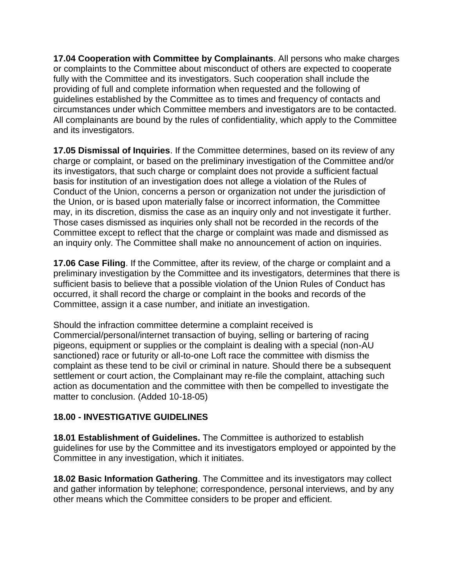**17.04 Cooperation with Committee by Complainants**. All persons who make charges or complaints to the Committee about misconduct of others are expected to cooperate fully with the Committee and its investigators. Such cooperation shall include the providing of full and complete information when requested and the following of guidelines established by the Committee as to times and frequency of contacts and circumstances under which Committee members and investigators are to be contacted. All complainants are bound by the rules of confidentiality, which apply to the Committee and its investigators.

**17.05 Dismissal of Inquiries**. If the Committee determines, based on its review of any charge or complaint, or based on the preliminary investigation of the Committee and/or its investigators, that such charge or complaint does not provide a sufficient factual basis for institution of an investigation does not allege a violation of the Rules of Conduct of the Union, concerns a person or organization not under the jurisdiction of the Union, or is based upon materially false or incorrect information, the Committee may, in its discretion, dismiss the case as an inquiry only and not investigate it further. Those cases dismissed as inquiries only shall not be recorded in the records of the Committee except to reflect that the charge or complaint was made and dismissed as an inquiry only. The Committee shall make no announcement of action on inquiries.

**17.06 Case Filing**. If the Committee, after its review, of the charge or complaint and a preliminary investigation by the Committee and its investigators, determines that there is sufficient basis to believe that a possible violation of the Union Rules of Conduct has occurred, it shall record the charge or complaint in the books and records of the Committee, assign it a case number, and initiate an investigation.

Should the infraction committee determine a complaint received is Commercial/personal/internet transaction of buying, selling or bartering of racing pigeons, equipment or supplies or the complaint is dealing with a special (non-AU sanctioned) race or futurity or all-to-one Loft race the committee with dismiss the complaint as these tend to be civil or criminal in nature. Should there be a subsequent settlement or court action, the Complainant may re-file the complaint, attaching such action as documentation and the committee with then be compelled to investigate the matter to conclusion. (Added 10-18-05)

### **18.00 - INVESTIGATIVE GUIDELINES**

**18.01 Establishment of Guidelines.** The Committee is authorized to establish guidelines for use by the Committee and its investigators employed or appointed by the Committee in any investigation, which it initiates.

**18.02 Basic Information Gathering**. The Committee and its investigators may collect and gather information by telephone; correspondence, personal interviews, and by any other means which the Committee considers to be proper and efficient.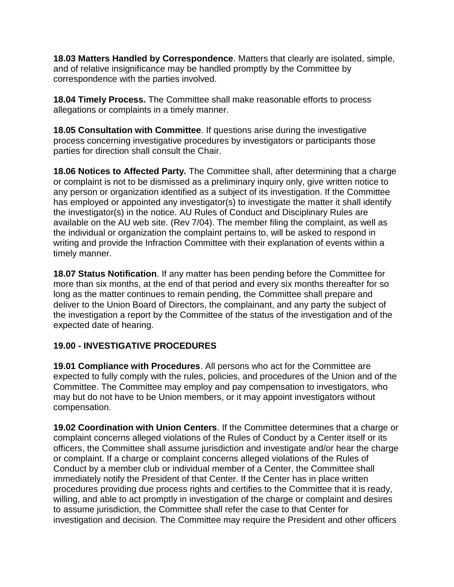**18.03 Matters Handled by Correspondence**. Matters that clearly are isolated, simple, and of relative insignificance may be handled promptly by the Committee by correspondence with the parties involved.

**18.04 Timely Process.** The Committee shall make reasonable efforts to process allegations or complaints in a timely manner.

**18.05 Consultation with Committee**. If questions arise during the investigative process concerning investigative procedures by investigators or participants those parties for direction shall consult the Chair.

**18.06 Notices to Affected Party.** The Committee shall, after determining that a charge or complaint is not to be dismissed as a preliminary inquiry only, give written notice to any person or organization identified as a subject of its investigation. If the Committee has employed or appointed any investigator(s) to investigate the matter it shall identify the investigator(s) in the notice. AU Rules of Conduct and Disciplinary Rules are available on the AU web site. (Rev 7/04). The member filing the complaint, as well as the individual or organization the complaint pertains to, will be asked to respond in writing and provide the Infraction Committee with their explanation of events within a timely manner.

**18.07 Status Notification**. If any matter has been pending before the Committee for more than six months, at the end of that period and every six months thereafter for so long as the matter continues to remain pending, the Committee shall prepare and deliver to the Union Board of Directors, the complainant, and any party the subject of the investigation a report by the Committee of the status of the investigation and of the expected date of hearing.

# **19.00 - INVESTIGATIVE PROCEDURES**

**19.01 Compliance with Procedures**. All persons who act for the Committee are expected to fully comply with the rules, policies, and procedures of the Union and of the Committee. The Committee may employ and pay compensation to investigators, who may but do not have to be Union members, or it may appoint investigators without compensation.

**19.02 Coordination with Union Centers**. If the Committee determines that a charge or complaint concerns alleged violations of the Rules of Conduct by a Center itself or its officers, the Committee shall assume jurisdiction and investigate and/or hear the charge or complaint. If a charge or complaint concerns alleged violations of the Rules of Conduct by a member club or individual member of a Center, the Committee shall immediately notify the President of that Center. If the Center has in place written procedures providing due process rights and certifies to the Committee that it is ready, willing, and able to act promptly in investigation of the charge or complaint and desires to assume jurisdiction, the Committee shall refer the case to that Center for investigation and decision. The Committee may require the President and other officers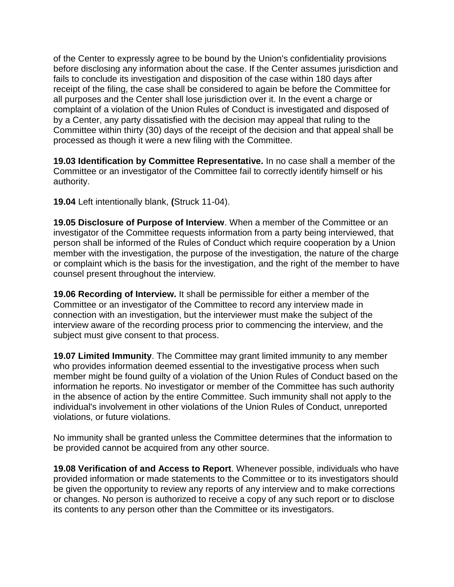of the Center to expressly agree to be bound by the Union's confidentiality provisions before disclosing any information about the case. If the Center assumes jurisdiction and fails to conclude its investigation and disposition of the case within 180 days after receipt of the filing, the case shall be considered to again be before the Committee for all purposes and the Center shall lose jurisdiction over it. In the event a charge or complaint of a violation of the Union Rules of Conduct is investigated and disposed of by a Center, any party dissatisfied with the decision may appeal that ruling to the Committee within thirty (30) days of the receipt of the decision and that appeal shall be processed as though it were a new filing with the Committee.

**19.03 Identification by Committee Representative.** In no case shall a member of the Committee or an investigator of the Committee fail to correctly identify himself or his authority.

**19.04** Left intentionally blank, **(**Struck 11-04).

**19.05 Disclosure of Purpose of Interview**. When a member of the Committee or an investigator of the Committee requests information from a party being interviewed, that person shall be informed of the Rules of Conduct which require cooperation by a Union member with the investigation, the purpose of the investigation, the nature of the charge or complaint which is the basis for the investigation, and the right of the member to have counsel present throughout the interview.

**19.06 Recording of Interview.** It shall be permissible for either a member of the Committee or an investigator of the Committee to record any interview made in connection with an investigation, but the interviewer must make the subject of the interview aware of the recording process prior to commencing the interview, and the subject must give consent to that process.

**19.07 Limited Immunity**. The Committee may grant limited immunity to any member who provides information deemed essential to the investigative process when such member might be found guilty of a violation of the Union Rules of Conduct based on the information he reports. No investigator or member of the Committee has such authority in the absence of action by the entire Committee. Such immunity shall not apply to the individual's involvement in other violations of the Union Rules of Conduct, unreported violations, or future violations.

No immunity shall be granted unless the Committee determines that the information to be provided cannot be acquired from any other source.

**19.08 Verification of and Access to Report**. Whenever possible, individuals who have provided information or made statements to the Committee or to its investigators should be given the opportunity to review any reports of any interview and to make corrections or changes. No person is authorized to receive a copy of any such report or to disclose its contents to any person other than the Committee or its investigators.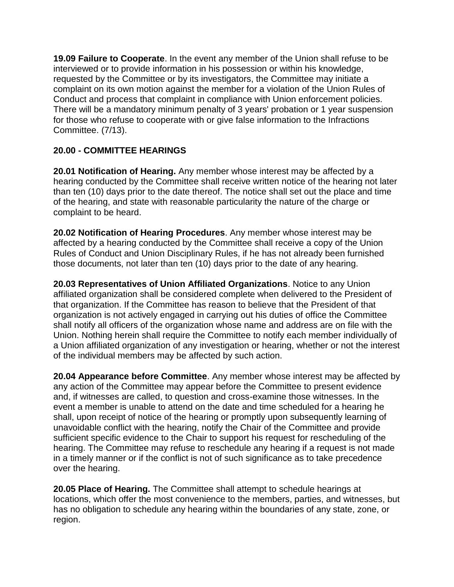**19.09 Failure to Cooperate**. In the event any member of the Union shall refuse to be interviewed or to provide information in his possession or within his knowledge, requested by the Committee or by its investigators, the Committee may initiate a complaint on its own motion against the member for a violation of the Union Rules of Conduct and process that complaint in compliance with Union enforcement policies. There will be a mandatory minimum penalty of 3 years' probation or 1 year suspension for those who refuse to cooperate with or give false information to the Infractions Committee. (7/13).

# **20.00 - COMMITTEE HEARINGS**

**20.01 Notification of Hearing.** Any member whose interest may be affected by a hearing conducted by the Committee shall receive written notice of the hearing not later than ten (10) days prior to the date thereof. The notice shall set out the place and time of the hearing, and state with reasonable particularity the nature of the charge or complaint to be heard.

**20.02 Notification of Hearing Procedures**. Any member whose interest may be affected by a hearing conducted by the Committee shall receive a copy of the Union Rules of Conduct and Union Disciplinary Rules, if he has not already been furnished those documents, not later than ten (10) days prior to the date of any hearing.

**20.03 Representatives of Union Affiliated Organizations**. Notice to any Union affiliated organization shall be considered complete when delivered to the President of that organization. If the Committee has reason to believe that the President of that organization is not actively engaged in carrying out his duties of office the Committee shall notify all officers of the organization whose name and address are on file with the Union. Nothing herein shall require the Committee to notify each member individually of a Union affiliated organization of any investigation or hearing, whether or not the interest of the individual members may be affected by such action.

**20.04 Appearance before Committee**. Any member whose interest may be affected by any action of the Committee may appear before the Committee to present evidence and, if witnesses are called, to question and cross-examine those witnesses. In the event a member is unable to attend on the date and time scheduled for a hearing he shall, upon receipt of notice of the hearing or promptly upon subsequently learning of unavoidable conflict with the hearing, notify the Chair of the Committee and provide sufficient specific evidence to the Chair to support his request for rescheduling of the hearing. The Committee may refuse to reschedule any hearing if a request is not made in a timely manner or if the conflict is not of such significance as to take precedence over the hearing.

**20.05 Place of Hearing.** The Committee shall attempt to schedule hearings at locations, which offer the most convenience to the members, parties, and witnesses, but has no obligation to schedule any hearing within the boundaries of any state, zone, or region.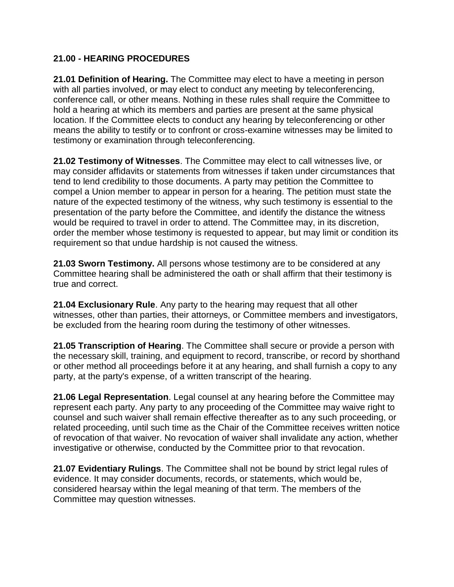#### **21.00 - HEARING PROCEDURES**

**21.01 Definition of Hearing.** The Committee may elect to have a meeting in person with all parties involved, or may elect to conduct any meeting by teleconferencing, conference call, or other means. Nothing in these rules shall require the Committee to hold a hearing at which its members and parties are present at the same physical location. If the Committee elects to conduct any hearing by teleconferencing or other means the ability to testify or to confront or cross-examine witnesses may be limited to testimony or examination through teleconferencing.

**21.02 Testimony of Witnesses**. The Committee may elect to call witnesses live, or may consider affidavits or statements from witnesses if taken under circumstances that tend to lend credibility to those documents. A party may petition the Committee to compel a Union member to appear in person for a hearing. The petition must state the nature of the expected testimony of the witness, why such testimony is essential to the presentation of the party before the Committee, and identify the distance the witness would be required to travel in order to attend. The Committee may, in its discretion, order the member whose testimony is requested to appear, but may limit or condition its requirement so that undue hardship is not caused the witness.

**21.03 Sworn Testimony.** All persons whose testimony are to be considered at any Committee hearing shall be administered the oath or shall affirm that their testimony is true and correct.

**21.04 Exclusionary Rule**. Any party to the hearing may request that all other witnesses, other than parties, their attorneys, or Committee members and investigators, be excluded from the hearing room during the testimony of other witnesses.

**21.05 Transcription of Hearing**. The Committee shall secure or provide a person with the necessary skill, training, and equipment to record, transcribe, or record by shorthand or other method all proceedings before it at any hearing, and shall furnish a copy to any party, at the party's expense, of a written transcript of the hearing.

**21.06 Legal Representation**. Legal counsel at any hearing before the Committee may represent each party. Any party to any proceeding of the Committee may waive right to counsel and such waiver shall remain effective thereafter as to any such proceeding, or related proceeding, until such time as the Chair of the Committee receives written notice of revocation of that waiver. No revocation of waiver shall invalidate any action, whether investigative or otherwise, conducted by the Committee prior to that revocation.

**21.07 Evidentiary Rulings**. The Committee shall not be bound by strict legal rules of evidence. It may consider documents, records, or statements, which would be, considered hearsay within the legal meaning of that term. The members of the Committee may question witnesses.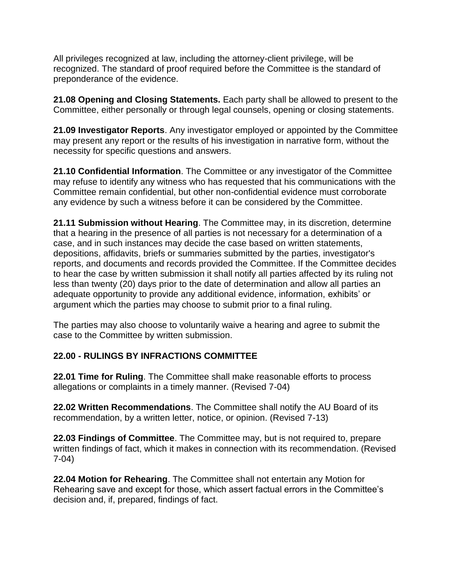All privileges recognized at law, including the attorney-client privilege, will be recognized. The standard of proof required before the Committee is the standard of preponderance of the evidence.

**21.08 Opening and Closing Statements.** Each party shall be allowed to present to the Committee, either personally or through legal counsels, opening or closing statements.

**21.09 Investigator Reports**. Any investigator employed or appointed by the Committee may present any report or the results of his investigation in narrative form, without the necessity for specific questions and answers.

**21.10 Confidential Information**. The Committee or any investigator of the Committee may refuse to identify any witness who has requested that his communications with the Committee remain confidential, but other non-confidential evidence must corroborate any evidence by such a witness before it can be considered by the Committee.

**21.11 Submission without Hearing**. The Committee may, in its discretion, determine that a hearing in the presence of all parties is not necessary for a determination of a case, and in such instances may decide the case based on written statements, depositions, affidavits, briefs or summaries submitted by the parties, investigator's reports, and documents and records provided the Committee. If the Committee decides to hear the case by written submission it shall notify all parties affected by its ruling not less than twenty (20) days prior to the date of determination and allow all parties an adequate opportunity to provide any additional evidence, information, exhibits' or argument which the parties may choose to submit prior to a final ruling.

The parties may also choose to voluntarily waive a hearing and agree to submit the case to the Committee by written submission.

# **22.00 - RULINGS BY INFRACTIONS COMMITTEE**

**22.01 Time for Ruling**. The Committee shall make reasonable efforts to process allegations or complaints in a timely manner. (Revised 7-04)

**22.02 Written Recommendations**. The Committee shall notify the AU Board of its recommendation, by a written letter, notice, or opinion. (Revised 7-13)

**22.03 Findings of Committee**. The Committee may, but is not required to, prepare written findings of fact, which it makes in connection with its recommendation. (Revised 7-04)

**22.04 Motion for Rehearing**. The Committee shall not entertain any Motion for Rehearing save and except for those, which assert factual errors in the Committee's decision and, if, prepared, findings of fact.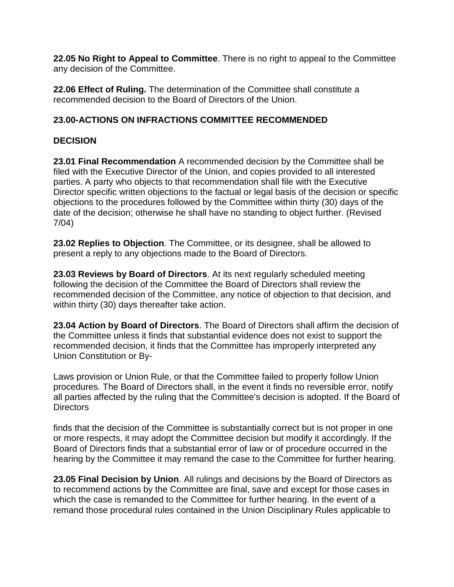**22.05 No Right to Appeal to Committee**. There is no right to appeal to the Committee any decision of the Committee.

**22.06 Effect of Ruling.** The determination of the Committee shall constitute a recommended decision to the Board of Directors of the Union.

# **23.00-ACTIONS ON INFRACTIONS COMMITTEE RECOMMENDED**

### **DECISION**

**23.01 Final Recommendation** A recommended decision by the Committee shall be filed with the Executive Director of the Union, and copies provided to all interested parties. A party who objects to that recommendation shall file with the Executive Director specific written objections to the factual or legal basis of the decision or specific objections to the procedures followed by the Committee within thirty (30) days of the date of the decision; otherwise he shall have no standing to object further. (Revised 7/04)

**23.02 Replies to Objection**. The Committee, or its designee, shall be allowed to present a reply to any objections made to the Board of Directors.

**23.03 Reviews by Board of Directors**. At its next regularly scheduled meeting following the decision of the Committee the Board of Directors shall review the recommended decision of the Committee, any notice of objection to that decision, and within thirty (30) days thereafter take action.

**23.04 Action by Board of Directors**. The Board of Directors shall affirm the decision of the Committee unless it finds that substantial evidence does not exist to support the recommended decision, it finds that the Committee has improperly interpreted any Union Constitution or By-

Laws provision or Union Rule, or that the Committee failed to properly follow Union procedures. The Board of Directors shall, in the event it finds no reversible error, notify all parties affected by the ruling that the Committee's decision is adopted. If the Board of Directors

finds that the decision of the Committee is substantially correct but is not proper in one or more respects, it may adopt the Committee decision but modify it accordingly. If the Board of Directors finds that a substantial error of law or of procedure occurred in the hearing by the Committee it may remand the case to the Committee for further hearing.

**23.05 Final Decision by Union**. All rulings and decisions by the Board of Directors as to recommend actions by the Committee are final, save and except for those cases in which the case is remanded to the Committee for further hearing. In the event of a remand those procedural rules contained in the Union Disciplinary Rules applicable to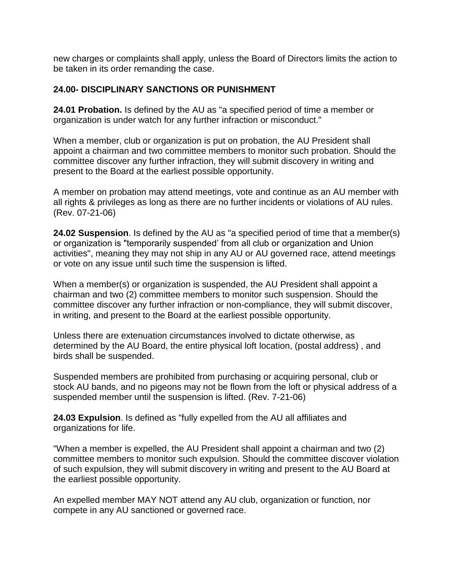new charges or complaints shall apply, unless the Board of Directors limits the action to be taken in its order remanding the case.

#### **24.00- DISCIPLINARY SANCTIONS OR PUNISHMENT**

**24.01 Probation.** Is defined by the AU as "a specified period of time a member or organization is under watch for any further infraction or misconduct."

When a member, club or organization is put on probation, the AU President shall appoint a chairman and two committee members to monitor such probation. Should the committee discover any further infraction, they will submit discovery in writing and present to the Board at the earliest possible opportunity.

A member on probation may attend meetings, vote and continue as an AU member with all rights & privileges as long as there are no further incidents or violations of AU rules. (Rev. 07-21-06)

**24.02 Suspension**. Is defined by the AU as "a specified period of time that a member(s) or organization is "temporarily suspended' from all club or organization and Union activities", meaning they may not ship in any AU or AU governed race, attend meetings or vote on any issue until such time the suspension is lifted.

When a member(s) or organization is suspended, the AU President shall appoint a chairman and two (2) committee members to monitor such suspension. Should the committee discover any further infraction or non-compliance, they will submit discover, in writing, and present to the Board at the earliest possible opportunity.

Unless there are extenuation circumstances involved to dictate otherwise, as determined by the AU Board, the entire physical loft location, (postal address) , and birds shall be suspended.

Suspended members are prohibited from purchasing or acquiring personal, club or stock AU bands, and no pigeons may not be flown from the loft or physical address of a suspended member until the suspension is lifted. (Rev. 7-21-06)

**24.03 Expulsion**. Is defined as "fully expelled from the AU all affiliates and organizations for life.

"When a member is expelled, the AU President shall appoint a chairman and two (2) committee members to monitor such expulsion. Should the committee discover violation of such expulsion, they will submit discovery in writing and present to the AU Board at the earliest possible opportunity.

An expelled member MAY NOT attend any AU club, organization or function, nor compete in any AU sanctioned or governed race.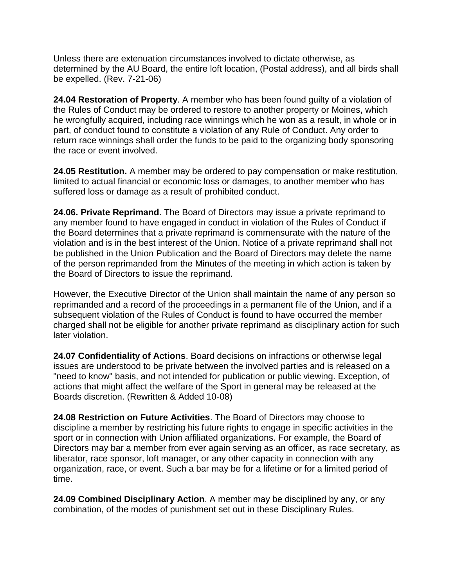Unless there are extenuation circumstances involved to dictate otherwise, as determined by the AU Board, the entire loft location, (Postal address), and all birds shall be expelled. (Rev. 7-21-06)

**24.04 Restoration of Property**. A member who has been found guilty of a violation of the Rules of Conduct may be ordered to restore to another property or Moines, which he wrongfully acquired, including race winnings which he won as a result, in whole or in part, of conduct found to constitute a violation of any Rule of Conduct. Any order to return race winnings shall order the funds to be paid to the organizing body sponsoring the race or event involved.

**24.05 Restitution.** A member may be ordered to pay compensation or make restitution, limited to actual financial or economic loss or damages, to another member who has suffered loss or damage as a result of prohibited conduct.

**24.06. Private Reprimand**. The Board of Directors may issue a private reprimand to any member found to have engaged in conduct in violation of the Rules of Conduct if the Board determines that a private reprimand is commensurate with the nature of the violation and is in the best interest of the Union. Notice of a private reprimand shall not be published in the Union Publication and the Board of Directors may delete the name of the person reprimanded from the Minutes of the meeting in which action is taken by the Board of Directors to issue the reprimand.

However, the Executive Director of the Union shall maintain the name of any person so reprimanded and a record of the proceedings in a permanent file of the Union, and if a subsequent violation of the Rules of Conduct is found to have occurred the member charged shall not be eligible for another private reprimand as disciplinary action for such later violation.

**24.07 Confidentiality of Actions**. Board decisions on infractions or otherwise legal issues are understood to be private between the involved parties and is released on a "need to know" basis, and not intended for publication or public viewing. Exception, of actions that might affect the welfare of the Sport in general may be released at the Boards discretion. (Rewritten & Added 10-08)

**24.08 Restriction on Future Activities**. The Board of Directors may choose to discipline a member by restricting his future rights to engage in specific activities in the sport or in connection with Union affiliated organizations. For example, the Board of Directors may bar a member from ever again serving as an officer, as race secretary, as liberator, race sponsor, loft manager, or any other capacity in connection with any organization, race, or event. Such a bar may be for a lifetime or for a limited period of time.

**24.09 Combined Disciplinary Action**. A member may be disciplined by any, or any combination, of the modes of punishment set out in these Disciplinary Rules.